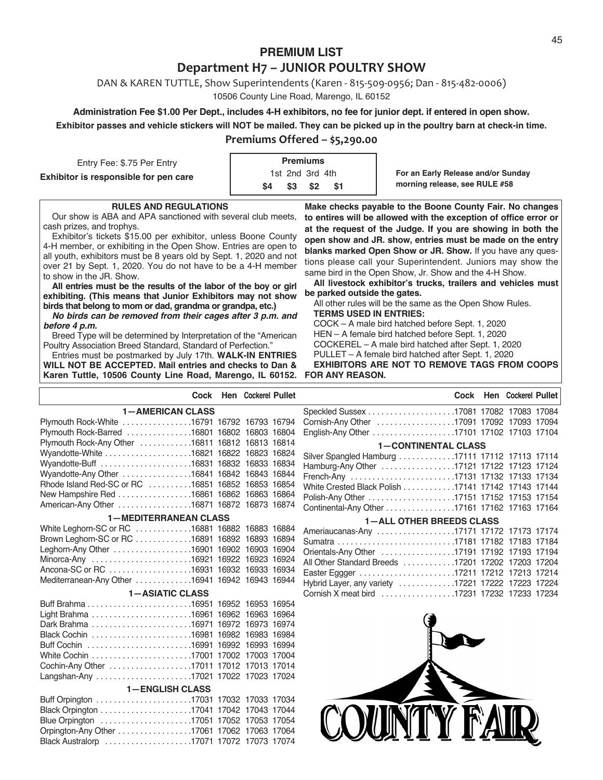# **PREMIUM LIST Department H7 – JUNIOR POULTRY SHOW**

DAN & KAREN TUTTLE, Show Superintendents (Karen ‐ 815‐509‐0956; Dan ‐ 815‐482‐0006)

10506 County Line Road, Marengo, IL 60152

### **Administration Fee \$1.00 Per Dept., includes 4-H exhibitors, no fee for junior dept. if entered in open show. Exhibitor passes and vehicle stickers will NOT be mailed. They can be picked up in the poultry barn at check-in time.**

#### **Premiums Offered – \$5,290.00**

| Entry Fee: \$.75 Per Entry            | <b>Premiums</b>    |                                                                     |
|---------------------------------------|--------------------|---------------------------------------------------------------------|
| Exhibitor is responsible for pen care | 1st 2nd 3rd 4th    | For an Early Release and/or Sunday<br>morning release, see RULE #58 |
|                                       | \$4<br>- S2<br>\$3 |                                                                     |

#### **RULES AND REGULATIONS**

Our show is ABA and APA sanctioned with several club meets, cash prizes, and trophys.

Exhibitor's tickets \$15.00 per exhibitor, unless Boone County 4-H member, or exhibiting in the Open Show. Entries are open to all youth, exhibitors must be 8 years old by Sept. 1, 2020 and not over 21 by Sept. 1, 2020. You do not have to be a 4-H member to show in the JR. Show.

**All entries must be the results of the labor of the boy or girl exhibiting. (This means that Junior Exhibitors may not show birds that belong to mom or dad, grandma or grandpa, etc.)**

*No birds can be removed from their cages after 3 p.m. and before 4 p.m.*

Breed Type will be determined by Interpretation of the "American Poultry Association Breed Standard, Standard of Perfection."

Entries must be postmarked by July 17th. **WALK-IN ENTRIES WILL NOT BE ACCEPTED. Mail entries and checks to Dan & Karen Tuttle, 10506 County Line Road, Marengo, IL 60152.**

**Make checks payable to the Boone County Fair. No changes to entires will be allowed with the exception of office error or at the request of the Judge. If you are showing in both the open show and JR. show, entries must be made on the entry blanks marked Open Show or JR. Show.** If you have any questions please call your Superintendent. Juniors may show the same bird in the Open Show, Jr. Show and the 4-H Show.

**All livestock exhibitor's trucks, trailers and vehicles must be parked outside the gates.**

All other rules will be the same as the Open Show Rules. **TERMS USED IN ENTRIES:**

COCK – A male bird hatched before Sept. 1, 2020 HEN – A female bird hatched before Sept. 1, 2020 COCKEREL – A male bird hatched after Sept. 1, 2020 PULLET – A female bird hatched after Sept. 1, 2020

**EXHIBITORS ARE NOT TO REMOVE TAGS FROM COOPS FOR ANY REASON.**

|                                                   | Cock Hen Cockerel Pullet |                                                    |  | Cock Hen Cockerel Pullet |  |
|---------------------------------------------------|--------------------------|----------------------------------------------------|--|--------------------------|--|
| <b>1-AMERICAN CLASS</b>                           |                          |                                                    |  |                          |  |
| Plymouth Rock-White 16791 16792 16793 16794       |                          | Cornish-Any Other 17091 17092 17093 17094          |  |                          |  |
| Plymouth Rock-Barred 16801 16802 16803 16804      |                          | English-Any Other 17101 17102 17103 17104          |  |                          |  |
| Plymouth Rock-Any Other 16811 16812 16813 16814   |                          | <b>1-CONTINENTAL CLASS</b>                         |  |                          |  |
| Wyandotte-White 16821 16822 16823 16824           |                          | Silver Spangled Hamburg 17111 17112 17113 17114    |  |                          |  |
| Wyandotte-Buff 16831 16832 16833 16834            |                          | Hamburg-Any Other 17121 17122 17123 17124          |  |                          |  |
| Wyandotte-Any Other 16841 16842 16843 16844       |                          | French-Any 17131 17132 17133 17134                 |  |                          |  |
| Rhode Island Red-SC or RC 16851 16852 16853 16854 |                          | White Crested Black Polish 17141 17142 17143 17144 |  |                          |  |
| New Hampshire Red 16861 16862 16863 16864         |                          |                                                    |  |                          |  |
| American-Any Other 16871 16872 16873 16874        |                          | Continental-Any Other 17161 17162 17163 17164      |  |                          |  |
| <b>1-MEDITERRANEAN CLASS</b>                      |                          | <b>1-ALL OTHER BREEDS CLASS</b>                    |  |                          |  |
| White Leghorn-SC or RC 16881 16882 16883 16884    |                          | Ameriaucanas-Any 17171 17172 17173 17174           |  |                          |  |
| Brown Leghorn-SC or RC 16891 16892 16893 16894    |                          | Sumatra 17181 17182 17183 17184                    |  |                          |  |
| Leghorn-Any Other 16901 16902 16903 16904         |                          | Orientals-Any Other 17191 17192 17193 17194        |  |                          |  |
| Minorca-Any 16921 16922 16923 16924               |                          | All Other Standard Breeds 17201 17202 17203 17204  |  |                          |  |
| Ancona-SC or RC 16931 16932 16933 16934           |                          | Easter Eggger 17211 17212 17213 17214              |  |                          |  |
| Mediterranean-Any Other 16941 16942 16943 16944   |                          | Hybrid Layer, any variety 17221 17222 17223 17224  |  |                          |  |
| <b>1-ASIATIC CLASS</b>                            |                          | Cornish X meat bird 17231 17232 17233 17234        |  |                          |  |
|                                                   |                          |                                                    |  |                          |  |
|                                                   |                          |                                                    |  |                          |  |
| Dark Brahma 16971 16972 16973 16974               |                          |                                                    |  |                          |  |
| Black Cochin 16981 16982 16983 16984              |                          |                                                    |  |                          |  |
|                                                   |                          |                                                    |  |                          |  |
| White Cochin 17001 17002 17003 17004              |                          |                                                    |  |                          |  |
| Cochin-Any Other 17011 17012 17013 17014          |                          |                                                    |  |                          |  |
| Langshan-Any 17021 17022 17023 17024              |                          |                                                    |  |                          |  |
| <b>1-ENGLISH CLASS</b>                            |                          |                                                    |  |                          |  |
|                                                   |                          |                                                    |  |                          |  |
|                                                   |                          |                                                    |  |                          |  |
| Blue Orpington 17051 17052 17053 17054            |                          | TY F                                               |  |                          |  |
| Orpington-Any Other 17061 17062 17063 17064       |                          |                                                    |  |                          |  |
| Black Australorp 17071 17072 17073 17074          |                          |                                                    |  |                          |  |
|                                                   |                          |                                                    |  |                          |  |